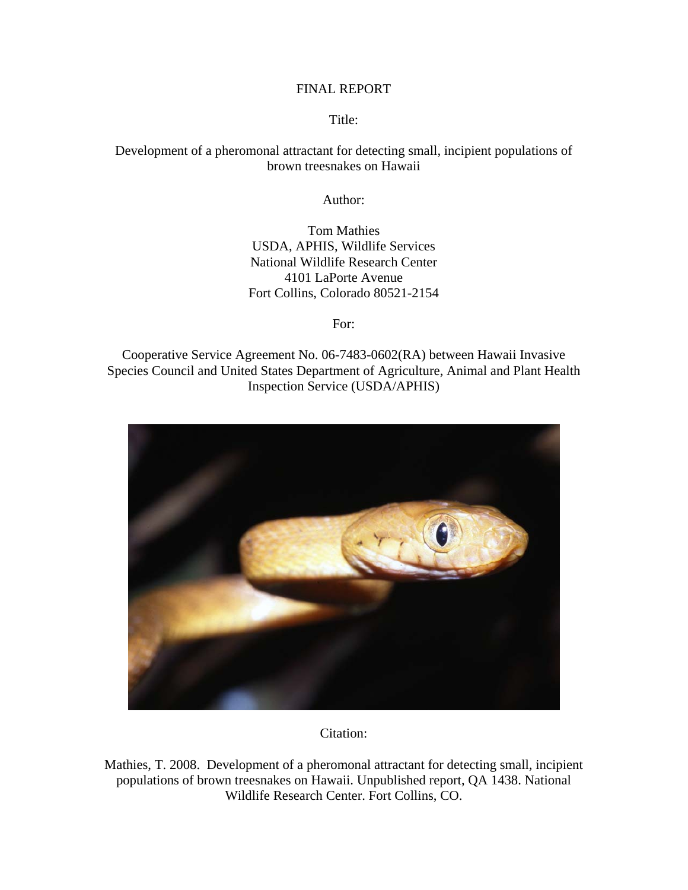#### FINAL REPORT

Title:

## Development of a pheromonal attractant for detecting small, incipient populations of brown treesnakes on Hawaii

Author:

Tom Mathies USDA, APHIS, Wildlife Services National Wildlife Research Center 4101 LaPorte Avenue Fort Collins, Colorado 80521-2154

For:

Cooperative Service Agreement No. 06-7483-0602(RA) between Hawaii Invasive Species Council and United States Department of Agriculture, Animal and Plant Health Inspection Service (USDA/APHIS)



Citation:

Mathies, T. 2008. Development of a pheromonal attractant for detecting small, incipient populations of brown treesnakes on Hawaii. Unpublished report, QA 1438. National Wildlife Research Center. Fort Collins, CO.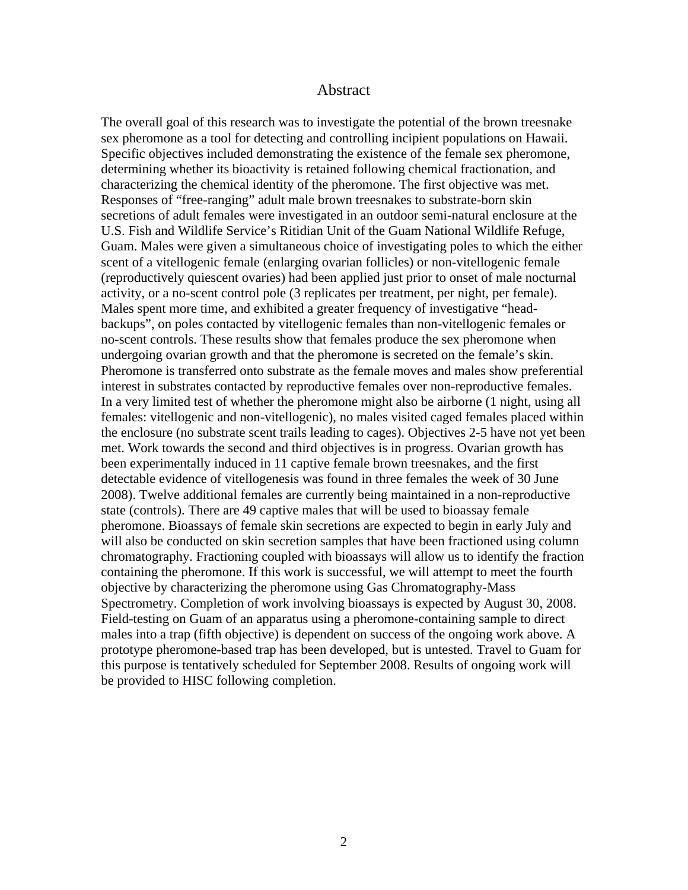#### Abstract

The overall goal of this research was to investigate the potential of the brown treesnake sex pheromone as a tool for detecting and controlling incipient populations on Hawaii. Specific objectives included demonstrating the existence of the female sex pheromone, determining whether its bioactivity is retained following chemical fractionation, and characterizing the chemical identity of the pheromone. The first objective was met. Responses of "free-ranging" adult male brown treesnakes to substrate-born skin secretions of adult females were investigated in an outdoor semi-natural enclosure at the U.S. Fish and Wildlife Service's Ritidian Unit of the Guam National Wildlife Refuge, Guam. Males were given a simultaneous choice of investigating poles to which the either scent of a vitellogenic female (enlarging ovarian follicles) or non-vitellogenic female (reproductively quiescent ovaries) had been applied just prior to onset of male nocturnal activity, or a no-scent control pole (3 replicates per treatment, per night, per female). Males spent more time, and exhibited a greater frequency of investigative "headbackups", on poles contacted by vitellogenic females than non-vitellogenic females or no-scent controls. These results show that females produce the sex pheromone when undergoing ovarian growth and that the pheromone is secreted on the female's skin. Pheromone is transferred onto substrate as the female moves and males show preferential interest in substrates contacted by reproductive females over non-reproductive females. In a very limited test of whether the pheromone might also be airborne (1 night, using all females: vitellogenic and non-vitellogenic), no males visited caged females placed within the enclosure (no substrate scent trails leading to cages). Objectives 2-5 have not yet been met. Work towards the second and third objectives is in progress. Ovarian growth has been experimentally induced in 11 captive female brown treesnakes, and the first detectable evidence of vitellogenesis was found in three females the week of 30 June 2008). Twelve additional females are currently being maintained in a non-reproductive state (controls). There are 49 captive males that will be used to bioassay female pheromone. Bioassays of female skin secretions are expected to begin in early July and will also be conducted on skin secretion samples that have been fractioned using column chromatography. Fractioning coupled with bioassays will allow us to identify the fraction containing the pheromone. If this work is successful, we will attempt to meet the fourth objective by characterizing the pheromone using [Gas Chromatography-Mass](http://www.shsu.edu/~chemistry/primers/gcms.html)  [Spectrometry.](http://www.shsu.edu/~chemistry/primers/gcms.html) Completion of work involving bioassays is expected by August 30, 2008. Field-testing on Guam of an apparatus using a pheromone-containing sample to direct males into a trap (fifth objective) is dependent on success of the ongoing work above. A prototype pheromone-based trap has been developed, but is untested. Travel to Guam for this purpose is tentatively scheduled for September 2008. Results of ongoing work will be provided to HISC following completion.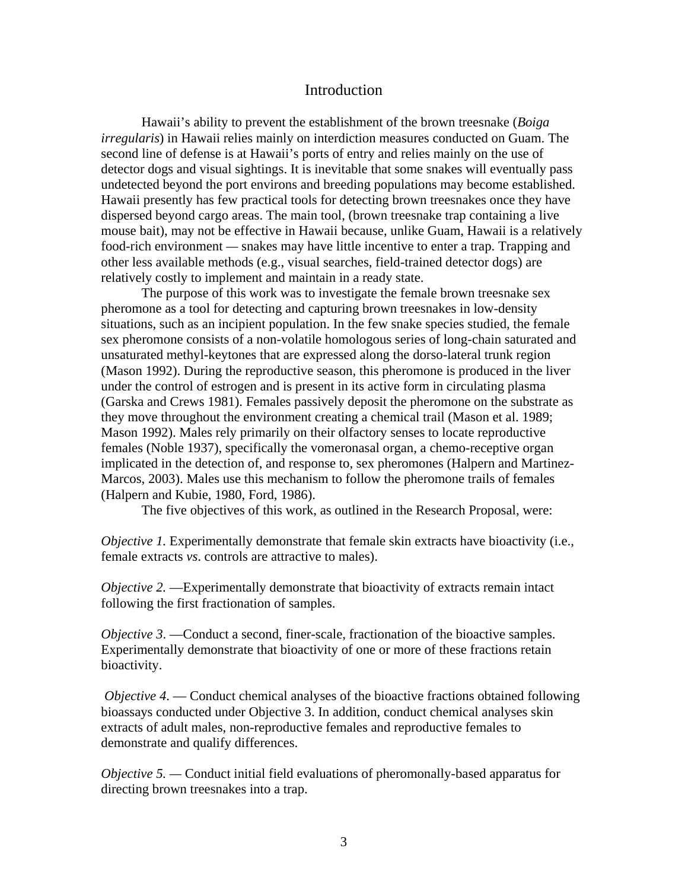#### Introduction

Hawaii's ability to prevent the establishment of the brown treesnake (*Boiga irregularis*) in Hawaii relies mainly on interdiction measures conducted on Guam. The second line of defense is at Hawaii's ports of entry and relies mainly on the use of detector dogs and visual sightings. It is inevitable that some snakes will eventually pass undetected beyond the port environs and breeding populations may become established. Hawaii presently has few practical tools for detecting brown treesnakes once they have dispersed beyond cargo areas. The main tool, (brown treesnake trap containing a live mouse bait), may not be effective in Hawaii because, unlike Guam, Hawaii is a relatively food-rich environment *—* snakes may have little incentive to enter a trap. Trapping and other less available methods (e.g., visual searches, field-trained detector dogs) are relatively costly to implement and maintain in a ready state.

The purpose of this work was to investigate the female brown treesnake sex pheromone as a tool for detecting and capturing brown treesnakes in low-density situations, such as an incipient population. In the few snake species studied, the female sex pheromone consists of a non-volatile homologous series of long-chain saturated and unsaturated methyl-keytones that are expressed along the dorso-lateral trunk region (Mason 1992). During the reproductive season, this pheromone is produced in the liver under the control of estrogen and is present in its active form in circulating plasma (Garska and Crews 1981). Females passively deposit the pheromone on the substrate as they move throughout the environment creating a chemical trail (Mason et al. 1989; Mason 1992). Males rely primarily on their olfactory senses to locate reproductive females (Noble 1937), specifically the vomeronasal organ, a chemo-receptive organ implicated in the detection of, and response to, sex pheromones (Halpern and Martinez-Marcos, 2003). Males use this mechanism to follow the pheromone trails of females (Halpern and Kubie, 1980, Ford, 1986).

The five objectives of this work, as outlined in the Research Proposal, were:

*Objective 1.* Experimentally demonstrate that female skin extracts have bioactivity (i.e., female extracts *vs*. controls are attractive to males).

*Objective 2.* —Experimentally demonstrate that bioactivity of extracts remain intact following the first fractionation of samples.

*Objective 3.* — Conduct a second, finer-scale, fractionation of the bioactive samples. Experimentally demonstrate that bioactivity of one or more of these fractions retain bioactivity.

*Objective 4.* — Conduct chemical analyses of the bioactive fractions obtained following bioassays conducted under Objective 3. In addition, conduct chemical analyses skin extracts of adult males, non-reproductive females and reproductive females to demonstrate and qualify differences.

*Objective 5.* — Conduct initial field evaluations of pheromonally-based apparatus for directing brown treesnakes into a trap.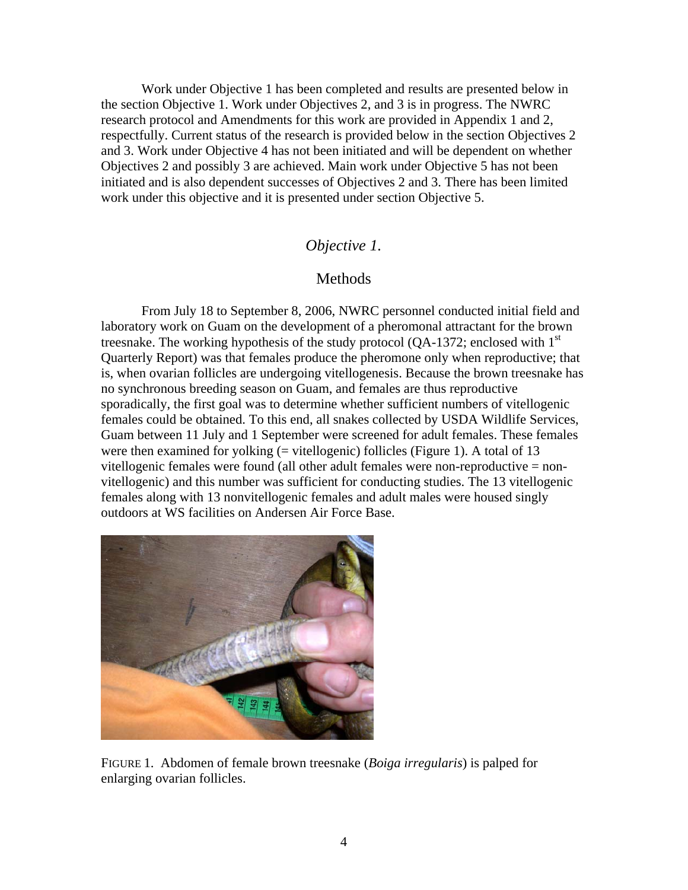Work under Objective 1 has been completed and results are presented below in the section Objective 1. Work under Objectives 2, and 3 is in progress. The NWRC research protocol and Amendments for this work are provided in Appendix 1 and 2, respectfully. Current status of the research is provided below in the section Objectives 2 and 3. Work under Objective 4 has not been initiated and will be dependent on whether Objectives 2 and possibly 3 are achieved. Main work under Objective 5 has not been initiated and is also dependent successes of Objectives 2 and 3. There has been limited work under this objective and it is presented under section Objective 5.

#### *Objective 1.*

### **Methods**

From July 18 to September 8, 2006, NWRC personnel conducted initial field and laboratory work on Guam on the development of a pheromonal attractant for the brown treesnake. The working hypothesis of the study protocol (QA-1372; enclosed with  $1<sup>st</sup>$ Quarterly Report) was that females produce the pheromone only when reproductive; that is, when ovarian follicles are undergoing vitellogenesis. Because the brown treesnake has no synchronous breeding season on Guam, and females are thus reproductive sporadically, the first goal was to determine whether sufficient numbers of vitellogenic females could be obtained. To this end, all snakes collected by USDA Wildlife Services, Guam between 11 July and 1 September were screened for adult females. These females were then examined for yolking  $(=$  vitellogenic) follicles (Figure 1). A total of 13 vitellogenic females were found (all other adult females were non-reproductive = nonvitellogenic) and this number was sufficient for conducting studies. The 13 vitellogenic females along with 13 nonvitellogenic females and adult males were housed singly outdoors at WS facilities on Andersen Air Force Base.



FIGURE 1. Abdomen of female brown treesnake (*Boiga irregularis*) is palped for enlarging ovarian follicles.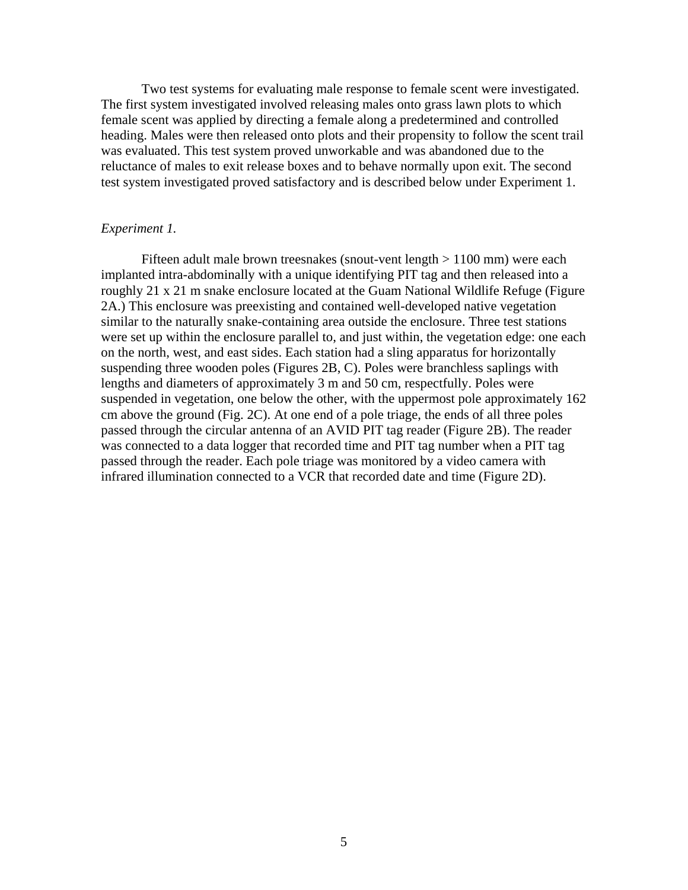Two test systems for evaluating male response to female scent were investigated. The first system investigated involved releasing males onto grass lawn plots to which female scent was applied by directing a female along a predetermined and controlled heading. Males were then released onto plots and their propensity to follow the scent trail was evaluated. This test system proved unworkable and was abandoned due to the reluctance of males to exit release boxes and to behave normally upon exit. The second test system investigated proved satisfactory and is described below under Experiment 1.

#### *Experiment 1.*

Fifteen adult male brown treesnakes (snout-vent length > 1100 mm) were each implanted intra-abdominally with a unique identifying PIT tag and then released into a roughly 21 x 21 m snake enclosure located at the Guam National Wildlife Refuge (Figure 2A.) This enclosure was preexisting and contained well-developed native vegetation similar to the naturally snake-containing area outside the enclosure. Three test stations were set up within the enclosure parallel to, and just within, the vegetation edge: one each on the north, west, and east sides. Each station had a sling apparatus for horizontally suspending three wooden poles (Figures 2B, C). Poles were branchless saplings with lengths and diameters of approximately 3 m and 50 cm, respectfully. Poles were suspended in vegetation, one below the other, with the uppermost pole approximately 162 cm above the ground (Fig. 2C). At one end of a pole triage, the ends of all three poles passed through the circular antenna of an AVID PIT tag reader (Figure 2B). The reader was connected to a data logger that recorded time and PIT tag number when a PIT tag passed through the reader. Each pole triage was monitored by a video camera with infrared illumination connected to a VCR that recorded date and time (Figure 2D).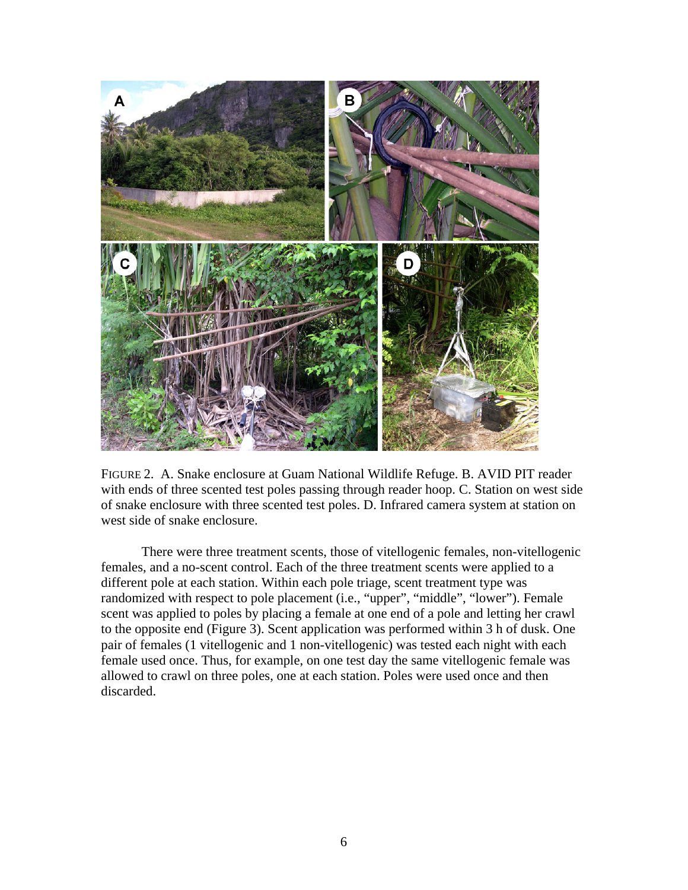

FIGURE 2. A. Snake enclosure at Guam National Wildlife Refuge. B. AVID PIT reader with ends of three scented test poles passing through reader hoop. C. Station on west side of snake enclosure with three scented test poles. D. Infrared camera system at station on west side of snake enclosure.

There were three treatment scents, those of vitellogenic females, non-vitellogenic females, and a no-scent control. Each of the three treatment scents were applied to a different pole at each station. Within each pole triage, scent treatment type was randomized with respect to pole placement (i.e., "upper", "middle", "lower"). Female scent was applied to poles by placing a female at one end of a pole and letting her crawl to the opposite end (Figure 3). Scent application was performed within 3 h of dusk. One pair of females (1 vitellogenic and 1 non-vitellogenic) was tested each night with each female used once. Thus, for example, on one test day the same vitellogenic female was allowed to crawl on three poles, one at each station. Poles were used once and then discarded.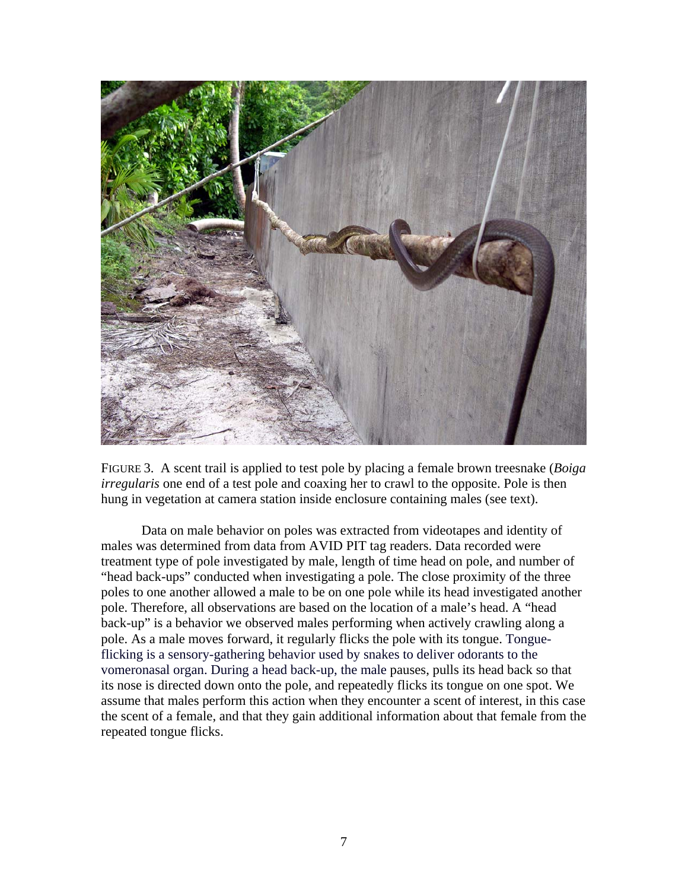

FIGURE 3. A scent trail is applied to test pole by placing a female brown treesnake (*Boiga irregularis* one end of a test pole and coaxing her to crawl to the opposite. Pole is then hung in vegetation at camera station inside enclosure containing males (see text).

Data on male behavior on poles was extracted from videotapes and identity of males was determined from data from AVID PIT tag readers. Data recorded were treatment type of pole investigated by male, length of time head on pole, and number of "head back-ups" conducted when investigating a pole. The close proximity of the three poles to one another allowed a male to be on one pole while its head investigated another pole. Therefore, all observations are based on the location of a male's head. A "head back-up" is a behavior we observed males performing when actively crawling along a pole. As a male moves forward, it regularly flicks the pole with its tongue. Tongueflicking is a sensory-gathering behavior used by snakes to deliver odorants to the vomeronasal organ. During a head back-up, the male pauses, pulls its head back so that its nose is directed down onto the pole, and repeatedly flicks its tongue on one spot. We assume that males perform this action when they encounter a scent of interest, in this case the scent of a female, and that they gain additional information about that female from the repeated tongue flicks.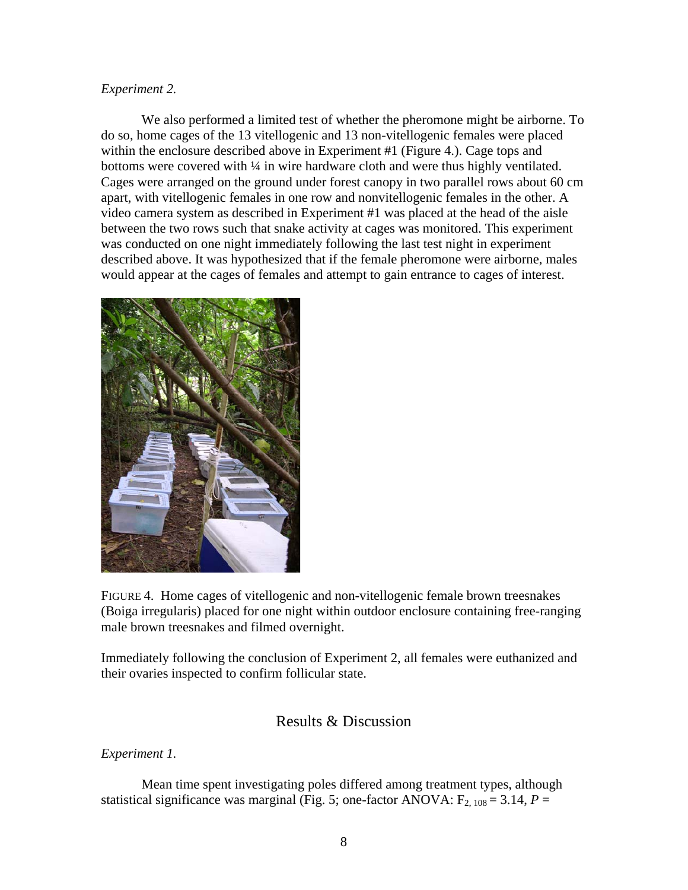#### *Experiment 2.*

We also performed a limited test of whether the pheromone might be airborne. To do so, home cages of the 13 vitellogenic and 13 non-vitellogenic females were placed within the enclosure described above in Experiment #1 (Figure 4.). Cage tops and bottoms were covered with 1/4 in wire hardware cloth and were thus highly ventilated. Cages were arranged on the ground under forest canopy in two parallel rows about 60 cm apart, with vitellogenic females in one row and nonvitellogenic females in the other. A video camera system as described in Experiment #1 was placed at the head of the aisle between the two rows such that snake activity at cages was monitored. This experiment was conducted on one night immediately following the last test night in experiment described above. It was hypothesized that if the female pheromone were airborne, males would appear at the cages of females and attempt to gain entrance to cages of interest.



FIGURE 4. Home cages of vitellogenic and non-vitellogenic female brown treesnakes (Boiga irregularis) placed for one night within outdoor enclosure containing free-ranging male brown treesnakes and filmed overnight.

Immediately following the conclusion of Experiment 2, all females were euthanized and their ovaries inspected to confirm follicular state.

# Results & Discussion

*Experiment 1.* 

 Mean time spent investigating poles differed among treatment types, although statistical significance was marginal (Fig. 5; one-factor ANOVA:  $F_{2, 108} = 3.14$ ,  $P =$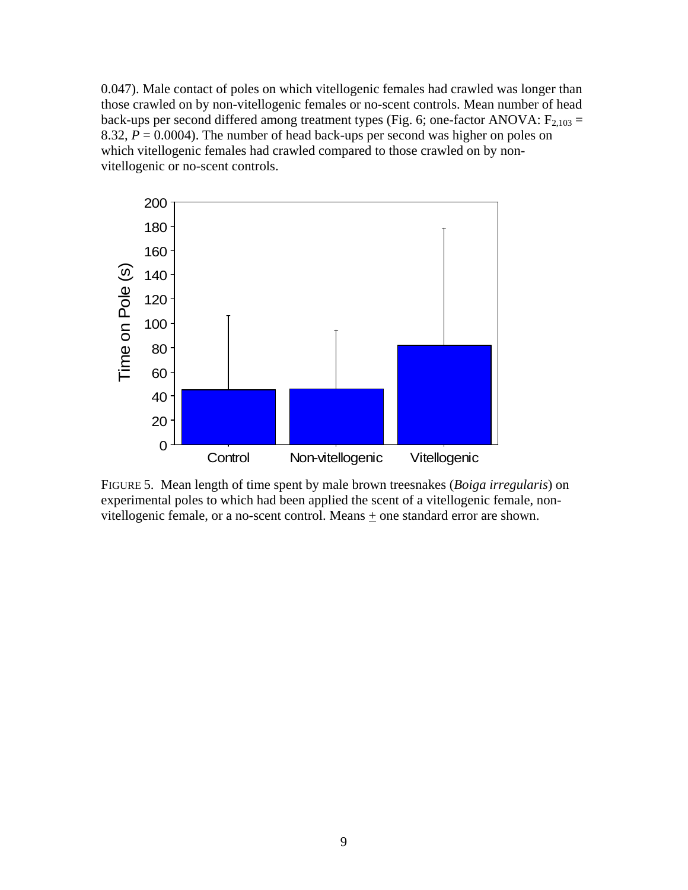0.047). Male contact of poles on which vitellogenic females had crawled was longer than those crawled on by non-vitellogenic females or no-scent controls. Mean number of head back-ups per second differed among treatment types (Fig. 6; one-factor ANOVA:  $F_{2,103}$  = 8.32,  $P = 0.0004$ ). The number of head back-ups per second was higher on poles on which vitellogenic females had crawled compared to those crawled on by nonvitellogenic or no-scent controls.



FIGURE 5. Mean length of time spent by male brown treesnakes (*Boiga irregularis*) on experimental poles to which had been applied the scent of a vitellogenic female, nonvitellogenic female, or a no-scent control. Means + one standard error are shown.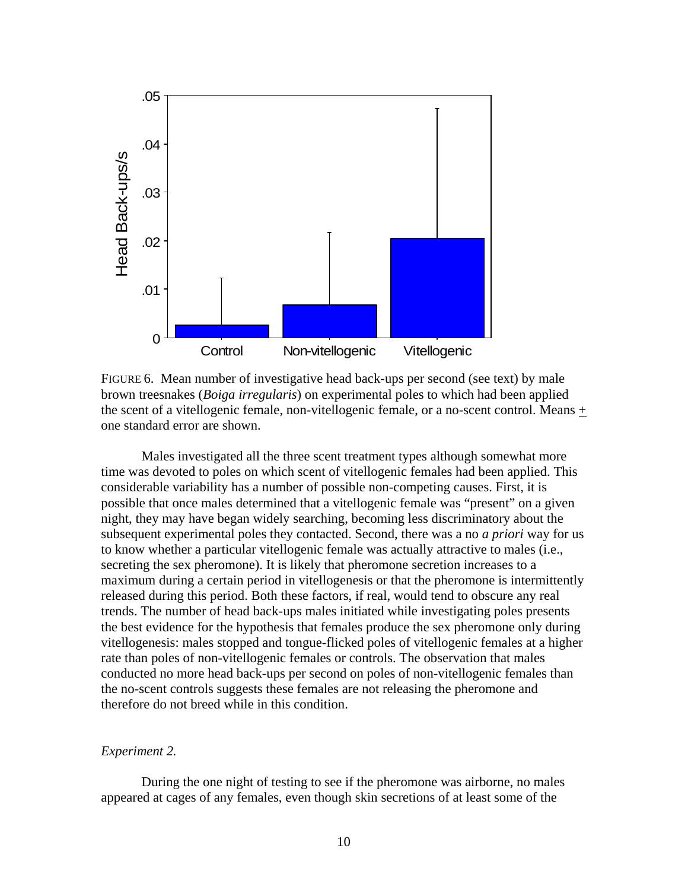

FIGURE 6. Mean number of investigative head back-ups per second (see text) by male brown treesnakes (*Boiga irregularis*) on experimental poles to which had been applied the scent of a vitellogenic female, non-vitellogenic female, or a no-scent control. Means + one standard error are shown.

Males investigated all the three scent treatment types although somewhat more time was devoted to poles on which scent of vitellogenic females had been applied. This considerable variability has a number of possible non-competing causes. First, it is possible that once males determined that a vitellogenic female was "present" on a given night, they may have began widely searching, becoming less discriminatory about the subsequent experimental poles they contacted. Second, there was a no *a priori* way for us to know whether a particular vitellogenic female was actually attractive to males (i.e., secreting the sex pheromone). It is likely that pheromone secretion increases to a maximum during a certain period in vitellogenesis or that the pheromone is intermittently released during this period. Both these factors, if real, would tend to obscure any real trends. The number of head back-ups males initiated while investigating poles presents the best evidence for the hypothesis that females produce the sex pheromone only during vitellogenesis: males stopped and tongue-flicked poles of vitellogenic females at a higher rate than poles of non-vitellogenic females or controls. The observation that males conducted no more head back-ups per second on poles of non-vitellogenic females than the no-scent controls suggests these females are not releasing the pheromone and therefore do not breed while in this condition.

#### *Experiment 2.*

 During the one night of testing to see if the pheromone was airborne, no males appeared at cages of any females, even though skin secretions of at least some of the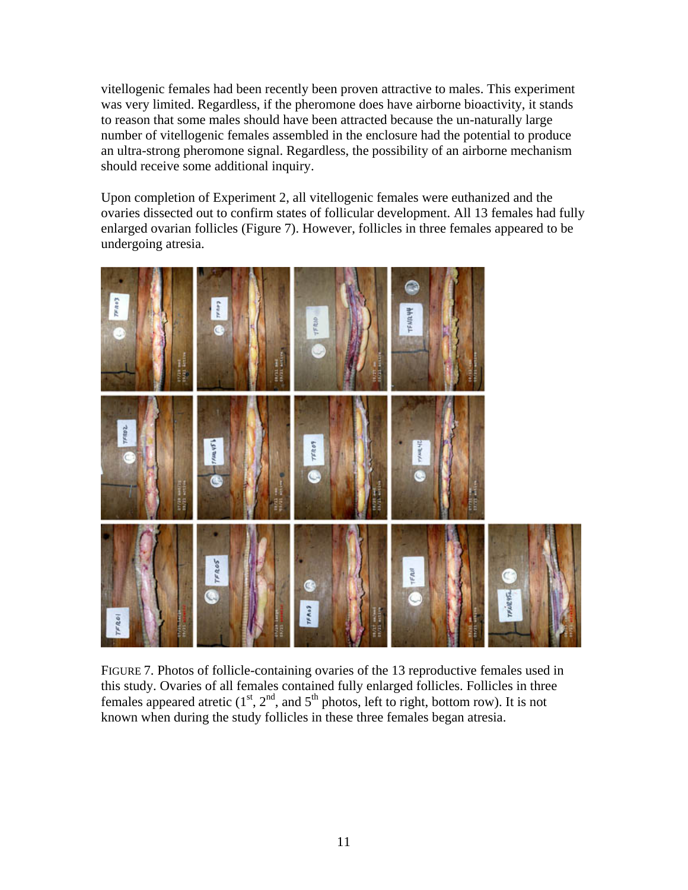vitellogenic females had been recently been proven attractive to males. This experiment was very limited. Regardless, if the pheromone does have airborne bioactivity, it stands to reason that some males should have been attracted because the un-naturally large number of vitellogenic females assembled in the enclosure had the potential to produce an ultra-strong pheromone signal. Regardless, the possibility of an airborne mechanism should receive some additional inquiry.

Upon completion of Experiment 2, all vitellogenic females were euthanized and the ovaries dissected out to confirm states of follicular development. All 13 females had fully enlarged ovarian follicles (Figure 7). However, follicles in three females appeared to be undergoing atresia.



FIGURE 7. Photos of follicle-containing ovaries of the 13 reproductive females used in this study. Ovaries of all females contained fully enlarged follicles. Follicles in three females appeared atretic  $(1<sup>st</sup>, 2<sup>nd</sup>,$  and  $5<sup>th</sup>$  photos, left to right, bottom row). It is not known when during the study follicles in these three females began atresia.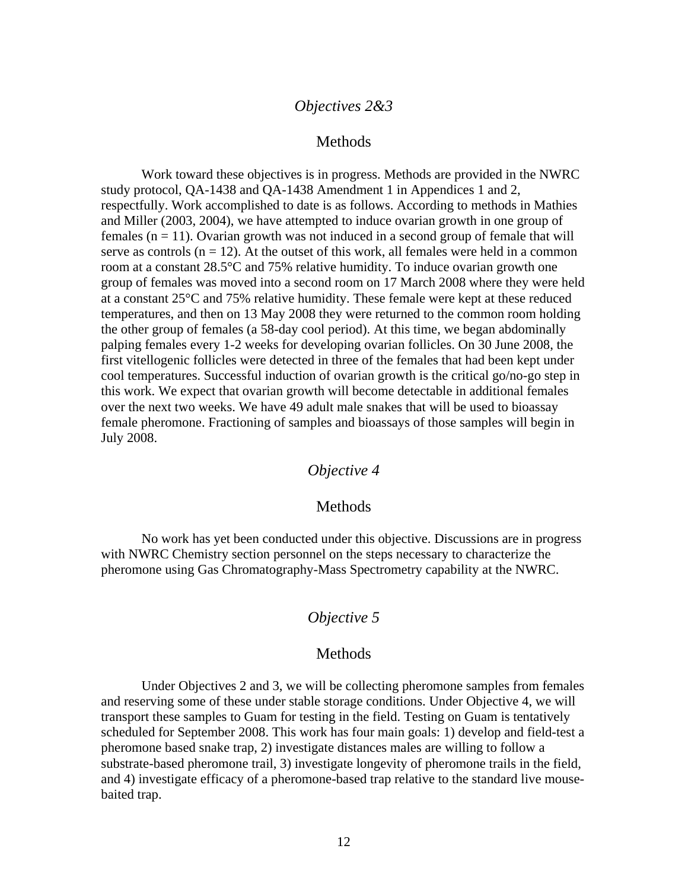# *Objectives 2&3*

#### Methods

Work toward these objectives is in progress. Methods are provided in the NWRC study protocol, QA-1438 and QA-1438 Amendment 1 in Appendices 1 and 2, respectfully. Work accomplished to date is as follows. According to methods in Mathies and Miller (2003, 2004), we have attempted to induce ovarian growth in one group of females  $(n = 11)$ . Ovarian growth was not induced in a second group of female that will serve as controls  $(n = 12)$ . At the outset of this work, all females were held in a common room at a constant 28.5°C and 75% relative humidity. To induce ovarian growth one group of females was moved into a second room on 17 March 2008 where they were held at a constant 25°C and 75% relative humidity. These female were kept at these reduced temperatures, and then on 13 May 2008 they were returned to the common room holding the other group of females (a 58-day cool period). At this time, we began abdominally palping females every 1-2 weeks for developing ovarian follicles. On 30 June 2008, the first vitellogenic follicles were detected in three of the females that had been kept under cool temperatures. Successful induction of ovarian growth is the critical go/no-go step in this work. We expect that ovarian growth will become detectable in additional females over the next two weeks. We have 49 adult male snakes that will be used to bioassay female pheromone. Fractioning of samples and bioassays of those samples will begin in July 2008.

# *Objective 4*

#### Methods

No work has yet been conducted under this objective. Discussions are in progress with NWRC Chemistry section personnel on the steps necessary to characterize the pheromone using Gas Chromatography-Mass Spectrometry capability at the NWRC.

# *Objective 5*

#### Methods

Under Objectives 2 and 3, we will be collecting pheromone samples from females and reserving some of these under stable storage conditions. Under Objective 4, we will transport these samples to Guam for testing in the field. Testing on Guam is tentatively scheduled for September 2008. This work has four main goals: 1) develop and field-test a pheromone based snake trap, 2) investigate distances males are willing to follow a substrate-based pheromone trail, 3) investigate longevity of pheromone trails in the field, and 4) investigate efficacy of a pheromone-based trap relative to the standard live mousebaited trap.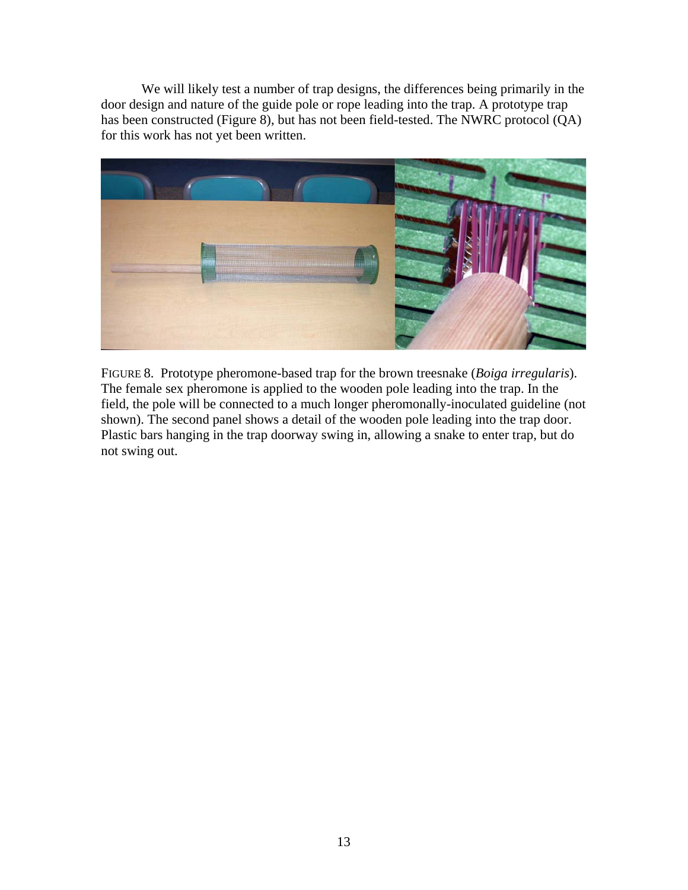We will likely test a number of trap designs, the differences being primarily in the door design and nature of the guide pole or rope leading into the trap. A prototype trap has been constructed (Figure 8), but has not been field-tested. The NWRC protocol (QA) for this work has not yet been written.



FIGURE 8. Prototype pheromone-based trap for the brown treesnake (*Boiga irregularis*). The female sex pheromone is applied to the wooden pole leading into the trap. In the field, the pole will be connected to a much longer pheromonally-inoculated guideline (not shown). The second panel shows a detail of the wooden pole leading into the trap door. Plastic bars hanging in the trap doorway swing in, allowing a snake to enter trap, but do not swing out.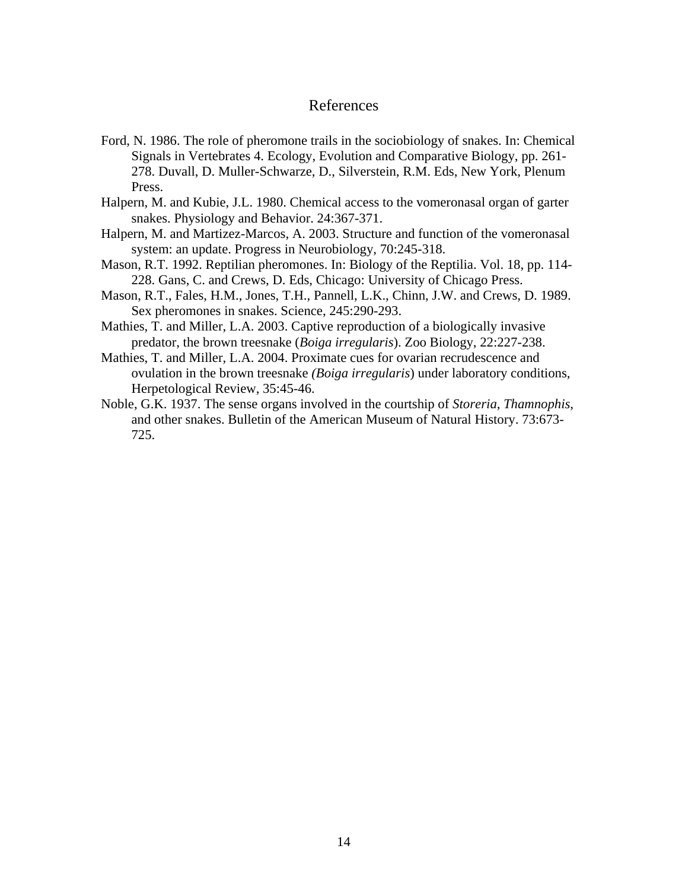### References

- Ford, N. 1986. The role of pheromone trails in the sociobiology of snakes. In: Chemical Signals in Vertebrates 4. Ecology, Evolution and Comparative Biology, pp. 261- 278. Duvall, D. Muller-Schwarze, D., Silverstein, R.M. Eds, New York, Plenum Press.
- Halpern, M. and Kubie, J.L. 1980. Chemical access to the vomeronasal organ of garter snakes. Physiology and Behavior. 24:367-371.
- Halpern, M. and Martizez-Marcos, A. 2003. Structure and function of the vomeronasal system: an update. Progress in Neurobiology, 70:245-318.
- Mason, R.T. 1992. Reptilian pheromones. In: Biology of the Reptilia. Vol. 18, pp. 114- 228. Gans, C. and Crews, D. Eds, Chicago: University of Chicago Press.
- Mason, R.T., Fales, H.M., Jones, T.H., Pannell, L.K., Chinn, J.W. and Crews, D. 1989. Sex pheromones in snakes. Science, 245:290-293.
- Mathies, T. and Miller, L.A. 2003. Captive reproduction of a biologically invasive predator, the brown treesnake (*Boiga irregularis*). Zoo Biology, 22:227-238.
- Mathies, T. and Miller, L.A. 2004. Proximate cues for ovarian recrudescence and ovulation in the brown treesnake *(Boiga irregularis*) under laboratory conditions, Herpetological Review, 35:45-46.
- Noble, G.K. 1937. The sense organs involved in the courtship of *Storeria*, *Thamnophis*, and other snakes. Bulletin of the American Museum of Natural History. 73:673- 725.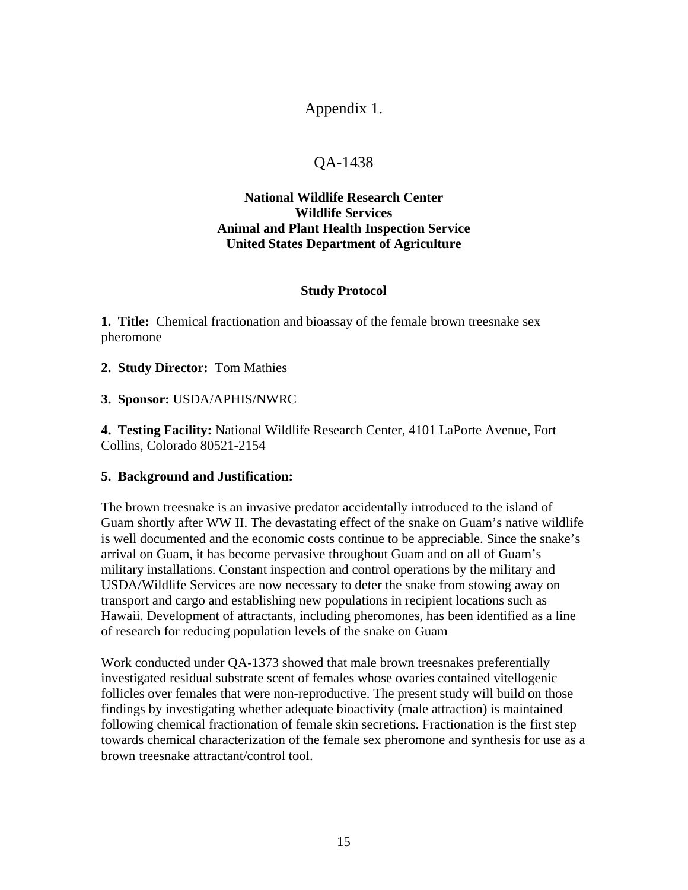# Appendix 1.

# QA-1438

# **National Wildlife Research Center Wildlife Services Animal and Plant Health Inspection Service United States Department of Agriculture**

### **Study Protocol**

**1. Title:** Chemical fractionation and bioassay of the female brown treesnake sex pheromone

**2. Study Director:** Tom Mathies

**3. Sponsor:** USDA/APHIS/NWRC

**4. Testing Facility:** National Wildlife Research Center, 4101 LaPorte Avenue, Fort Collins, Colorado 80521-2154

# **5. Background and Justification:**

The brown treesnake is an invasive predator accidentally introduced to the island of Guam shortly after WW II. The devastating effect of the snake on Guam's native wildlife is well documented and the economic costs continue to be appreciable. Since the snake's arrival on Guam, it has become pervasive throughout Guam and on all of Guam's military installations. Constant inspection and control operations by the military and USDA/Wildlife Services are now necessary to deter the snake from stowing away on transport and cargo and establishing new populations in recipient locations such as Hawaii. Development of attractants, including pheromones, has been identified as a line of research for reducing population levels of the snake on Guam

Work conducted under QA-1373 showed that male brown treesnakes preferentially investigated residual substrate scent of females whose ovaries contained vitellogenic follicles over females that were non-reproductive. The present study will build on those findings by investigating whether adequate bioactivity (male attraction) is maintained following chemical fractionation of female skin secretions. Fractionation is the first step towards chemical characterization of the female sex pheromone and synthesis for use as a brown treesnake attractant/control tool.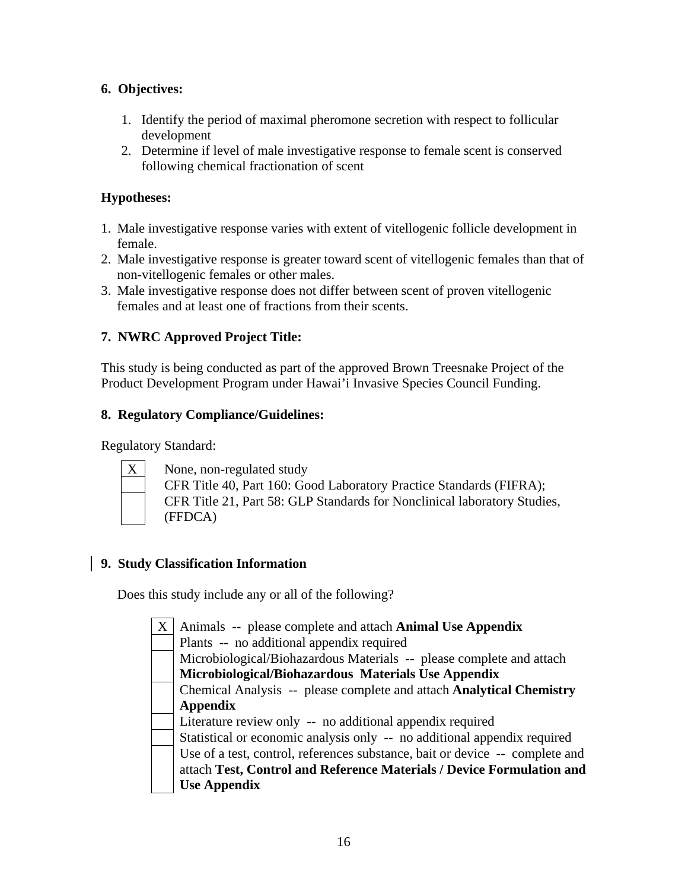# **6. Objectives:**

- 1. Identify the period of maximal pheromone secretion with respect to follicular development
- 2. Determine if level of male investigative response to female scent is conserved following chemical fractionation of scent

# **Hypotheses:**

- 1. Male investigative response varies with extent of vitellogenic follicle development in female.
- 2. Male investigative response is greater toward scent of vitellogenic females than that of non-vitellogenic females or other males.
- 3. Male investigative response does not differ between scent of proven vitellogenic females and at least one of fractions from their scents.

# **7. NWRC Approved Project Title:**

This study is being conducted as part of the approved Brown Treesnake Project of the Product Development Program under Hawai'i Invasive Species Council Funding.

# **8. Regulatory Compliance/Guidelines:**

Regulatory Standard:



None, non-regulated study CFR Title 40, Part 160: Good Laboratory Practice Standards (FIFRA); CFR Title 21, Part 58: GLP Standards for Nonclinical laboratory Studies, (FFDCA)

# **9. Study Classification Information**

Does this study include any or all of the following?

X | Animals -- please complete and attach **Animal Use Appendix**  Plants -- no additional appendix required Microbiological/Biohazardous Materials -- please complete and attach **Microbiological/Biohazardous Materials Use Appendix** Chemical Analysis -- please complete and attach **Analytical Chemistry Appendix** Literature review only -- no additional appendix required Statistical or economic analysis only -- no additional appendix required Use of a test, control, references substance, bait or device -- complete and attach **Test, Control and Reference Materials / Device Formulation and Use Appendix**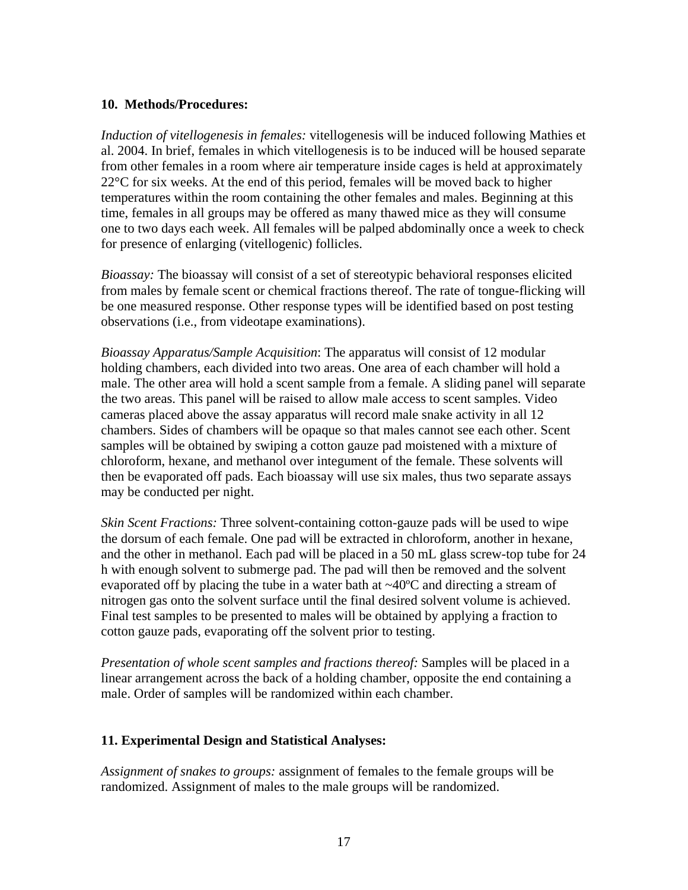#### **10. Methods/Procedures:**

*Induction of vitellogenesis in females:* vitellogenesis will be induced following Mathies et al. 2004. In brief, females in which vitellogenesis is to be induced will be housed separate from other females in a room where air temperature inside cages is held at approximately 22°C for six weeks. At the end of this period, females will be moved back to higher temperatures within the room containing the other females and males. Beginning at this time, females in all groups may be offered as many thawed mice as they will consume one to two days each week. All females will be palped abdominally once a week to check for presence of enlarging (vitellogenic) follicles.

*Bioassay:* The bioassay will consist of a set of stereotypic behavioral responses elicited from males by female scent or chemical fractions thereof. The rate of tongue-flicking will be one measured response. Other response types will be identified based on post testing observations (i.e., from videotape examinations).

*Bioassay Apparatus/Sample Acquisition*: The apparatus will consist of 12 modular holding chambers, each divided into two areas. One area of each chamber will hold a male. The other area will hold a scent sample from a female. A sliding panel will separate the two areas. This panel will be raised to allow male access to scent samples. Video cameras placed above the assay apparatus will record male snake activity in all 12 chambers. Sides of chambers will be opaque so that males cannot see each other. Scent samples will be obtained by swiping a cotton gauze pad moistened with a mixture of chloroform, hexane, and methanol over integument of the female. These solvents will then be evaporated off pads. Each bioassay will use six males, thus two separate assays may be conducted per night.

*Skin Scent Fractions:* Three solvent-containing cotton-gauze pads will be used to wipe the dorsum of each female. One pad will be extracted in chloroform, another in hexane, and the other in methanol. Each pad will be placed in a 50 mL glass screw-top tube for 24 h with enough solvent to submerge pad. The pad will then be removed and the solvent evaporated off by placing the tube in a water bath at  $\sim$ 40 $\degree$ C and directing a stream of nitrogen gas onto the solvent surface until the final desired solvent volume is achieved. Final test samples to be presented to males will be obtained by applying a fraction to cotton gauze pads, evaporating off the solvent prior to testing.

*Presentation of whole scent samples and fractions thereof:* Samples will be placed in a linear arrangement across the back of a holding chamber, opposite the end containing a male. Order of samples will be randomized within each chamber.

# **11. Experimental Design and Statistical Analyses:**

*Assignment of snakes to groups:* assignment of females to the female groups will be randomized. Assignment of males to the male groups will be randomized.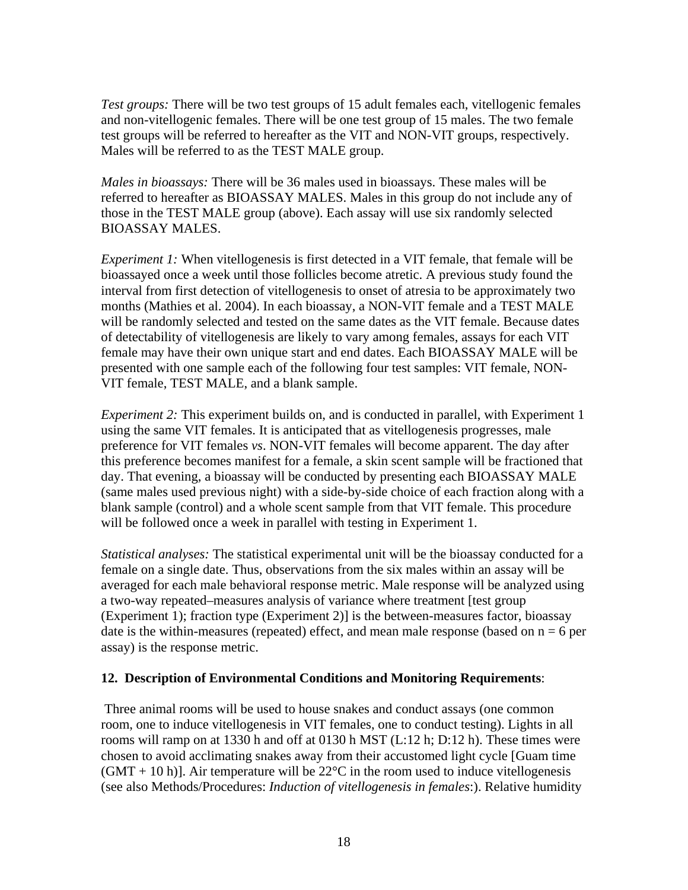*Test groups:* There will be two test groups of 15 adult females each, vitellogenic females and non-vitellogenic females. There will be one test group of 15 males. The two female test groups will be referred to hereafter as the VIT and NON-VIT groups, respectively. Males will be referred to as the TEST MALE group.

*Males in bioassays:* There will be 36 males used in bioassays. These males will be referred to hereafter as BIOASSAY MALES. Males in this group do not include any of those in the TEST MALE group (above). Each assay will use six randomly selected BIOASSAY MALES.

*Experiment 1:* When vitellogenesis is first detected in a VIT female, that female will be bioassayed once a week until those follicles become atretic. A previous study found the interval from first detection of vitellogenesis to onset of atresia to be approximately two months (Mathies et al. 2004). In each bioassay, a NON-VIT female and a TEST MALE will be randomly selected and tested on the same dates as the VIT female. Because dates of detectability of vitellogenesis are likely to vary among females, assays for each VIT female may have their own unique start and end dates. Each BIOASSAY MALE will be presented with one sample each of the following four test samples: VIT female, NON-VIT female, TEST MALE, and a blank sample.

*Experiment 2:* This experiment builds on, and is conducted in parallel, with Experiment 1 using the same VIT females. It is anticipated that as vitellogenesis progresses, male preference for VIT females *vs*. NON-VIT females will become apparent. The day after this preference becomes manifest for a female, a skin scent sample will be fractioned that day. That evening, a bioassay will be conducted by presenting each BIOASSAY MALE (same males used previous night) with a side-by-side choice of each fraction along with a blank sample (control) and a whole scent sample from that VIT female. This procedure will be followed once a week in parallel with testing in Experiment 1.

*Statistical analyses:* The statistical experimental unit will be the bioassay conducted for a female on a single date. Thus, observations from the six males within an assay will be averaged for each male behavioral response metric. Male response will be analyzed using a two-way repeated–measures analysis of variance where treatment [test group (Experiment 1); fraction type (Experiment 2)] is the between-measures factor, bioassay date is the within-measures (repeated) effect, and mean male response (based on  $n = 6$  per assay) is the response metric.

#### **12. Description of Environmental Conditions and Monitoring Requirements**:

 Three animal rooms will be used to house snakes and conduct assays (one common room, one to induce vitellogenesis in VIT females, one to conduct testing). Lights in all rooms will ramp on at 1330 h and off at 0130 h MST (L:12 h; D:12 h). These times were chosen to avoid acclimating snakes away from their accustomed light cycle [Guam time  $(GMT + 10 h)$ . Air temperature will be 22<sup>o</sup>C in the room used to induce vitellogenesis (see also Methods/Procedures: *Induction of vitellogenesis in females*:). Relative humidity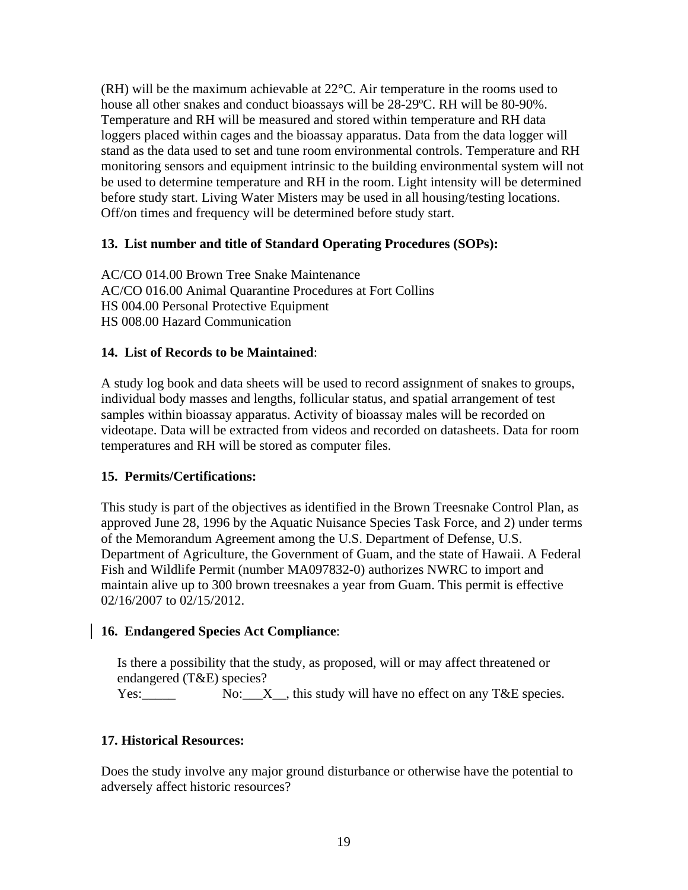(RH) will be the maximum achievable at 22°C. Air temperature in the rooms used to house all other snakes and conduct bioassays will be 28-29ºC. RH will be 80-90%. Temperature and RH will be measured and stored within temperature and RH data loggers placed within cages and the bioassay apparatus. Data from the data logger will stand as the data used to set and tune room environmental controls. Temperature and RH monitoring sensors and equipment intrinsic to the building environmental system will not be used to determine temperature and RH in the room. Light intensity will be determined before study start. Living Water Misters may be used in all housing/testing locations. Off/on times and frequency will be determined before study start.

# **13. List number and title of Standard Operating Procedures (SOPs):**

AC/CO 014.00 Brown Tree Snake Maintenance AC/CO 016.00 Animal Quarantine Procedures at Fort Collins HS 004.00 Personal Protective Equipment HS 008.00 Hazard Communication

### **14. List of Records to be Maintained**:

A study log book and data sheets will be used to record assignment of snakes to groups, individual body masses and lengths, follicular status, and spatial arrangement of test samples within bioassay apparatus. Activity of bioassay males will be recorded on videotape. Data will be extracted from videos and recorded on datasheets. Data for room temperatures and RH will be stored as computer files.

# **15. Permits/Certifications:**

This study is part of the objectives as identified in the Brown Treesnake Control Plan, as approved June 28, 1996 by the Aquatic Nuisance Species Task Force, and 2) under terms of the Memorandum Agreement among the U.S. Department of Defense, U.S. Department of Agriculture, the Government of Guam, and the state of Hawaii. A Federal Fish and Wildlife Permit (number MA097832-0) authorizes NWRC to import and maintain alive up to 300 brown treesnakes a year from Guam. This permit is effective 02/16/2007 to 02/15/2012.

# **16. Endangered Species Act Compliance**:

Is there a possibility that the study, as proposed, will or may affect threatened or endangered (T&E) species?

Yes: No:  $X$ , this study will have no effect on any T&E species.

# **17. Historical Resources:**

Does the study involve any major ground disturbance or otherwise have the potential to adversely affect historic resources?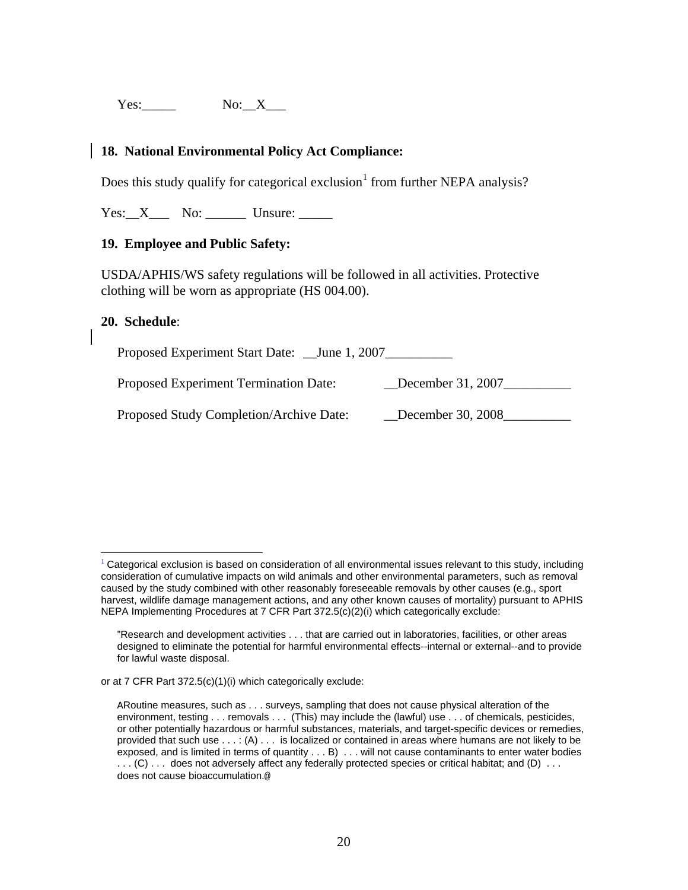Yes: No: X

## **18. National Environmental Policy Act Compliance:**

Does this study qualify for categorical exclusion<sup>[1](#page-19-0)</sup> from further NEPA analysis?

Yes: X No: Unsure:

### **19. Employee and Public Safety:**

USDA/APHIS/WS safety regulations will be followed in all activities. Protective clothing will be worn as appropriate (HS 004.00).

#### **20. Schedule**:

Proposed Experiment Start Date: \_\_June 1, 2007\_\_\_\_\_\_\_\_\_\_\_\_\_\_\_\_\_\_\_\_\_\_\_\_\_\_\_\_\_\_\_\_\_\_

Proposed Experiment Termination Date: December 31, 2007

Proposed Study Completion/Archive Date: December 30, 2008

<span id="page-19-0"></span> $\overline{a}$  $1$  Categorical exclusion is based on consideration of all environmental issues relevant to this study, including consideration of cumulative impacts on wild animals and other environmental parameters, such as removal caused by the study combined with other reasonably foreseeable removals by other causes (e.g., sport harvest, wildlife damage management actions, and any other known causes of mortality) pursuant to APHIS NEPA Implementing Procedures at 7 CFR Part 372.5(c)(2)(i) which categorically exclude:

<sup>&</sup>quot;Research and development activities . . . that are carried out in laboratories, facilities, or other areas designed to eliminate the potential for harmful environmental effects--internal or external--and to provide for lawful waste disposal.

or at 7 CFR Part 372.5(c)(1)(i) which categorically exclude:

ARoutine measures, such as . . . surveys, sampling that does not cause physical alteration of the environment, testing . . . removals . . . (This) may include the (lawful) use . . . of chemicals, pesticides, or other potentially hazardous or harmful substances, materials, and target-specific devices or remedies, provided that such use . . . : (A) . . . is localized or contained in areas where humans are not likely to be exposed, and is limited in terms of quantity . . . B) . . . will not cause contaminants to enter water bodies . . . (C) . . . does not adversely affect any federally protected species or critical habitat; and (D) . . . does not cause bioaccumulation.@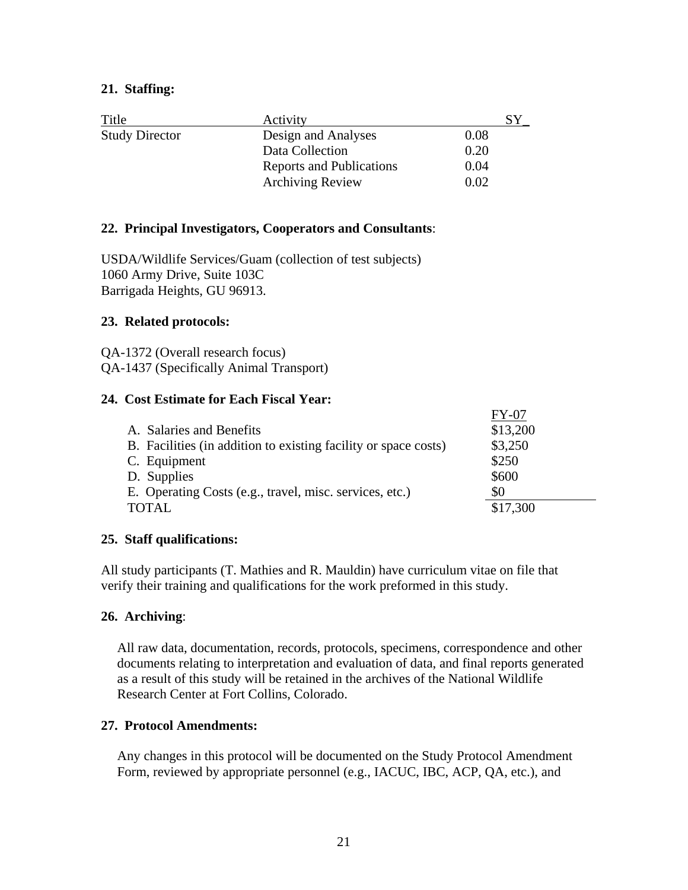### **21. Staffing:**

| Title                 | Activity                 |      |
|-----------------------|--------------------------|------|
| <b>Study Director</b> | Design and Analyses      | 0.08 |
|                       | Data Collection          | 0.20 |
|                       | Reports and Publications | 0.04 |
|                       | <b>Archiving Review</b>  | 0.02 |

### **22. Principal Investigators, Cooperators and Consultants**:

USDA/Wildlife Services/Guam (collection of test subjects) 1060 Army Drive, Suite 103C Barrigada Heights, GU 96913.

### **23. Related protocols:**

QA-1372 (Overall research focus) QA-1437 (Specifically Animal Transport)

#### **24. Cost Estimate for Each Fiscal Year:**

|                                                                 | $FY-07$  |
|-----------------------------------------------------------------|----------|
| A. Salaries and Benefits                                        | \$13,200 |
| B. Facilities (in addition to existing facility or space costs) | \$3,250  |
| C. Equipment                                                    | \$250    |
| D. Supplies                                                     | \$600    |
| E. Operating Costs (e.g., travel, misc. services, etc.)         | 80       |
| <b>TOTAL</b>                                                    | \$17,300 |

#### **25. Staff qualifications:**

All study participants (T. Mathies and R. Mauldin) have curriculum vitae on file that verify their training and qualifications for the work preformed in this study.

#### **26. Archiving**:

All raw data, documentation, records, protocols, specimens, correspondence and other documents relating to interpretation and evaluation of data, and final reports generated as a result of this study will be retained in the archives of the National Wildlife Research Center at Fort Collins, Colorado.

### **27. Protocol Amendments:**

Any changes in this protocol will be documented on the Study Protocol Amendment Form, reviewed by appropriate personnel (e.g., IACUC, IBC, ACP, QA, etc.), and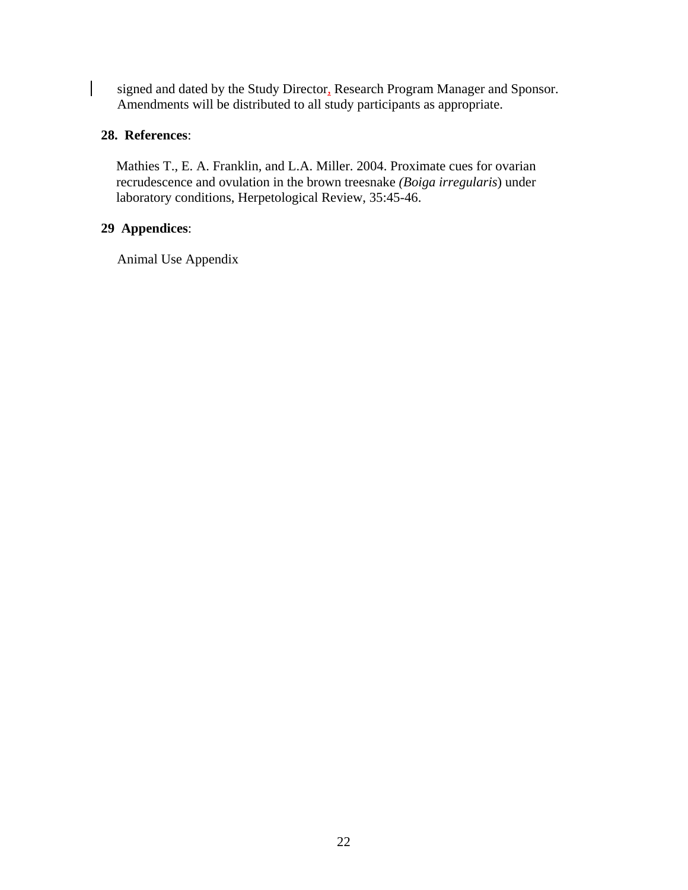signed and dated by the Study Director, Research Program Manager and Sponsor. Amendments will be distributed to all study participants as appropriate.

### **28. References**:

 $\overline{\phantom{a}}$ 

Mathies T., E. A. Franklin, and L.A. Miller. 2004. Proximate cues for ovarian recrudescence and ovulation in the brown treesnake *(Boiga irregularis*) under laboratory conditions, Herpetological Review, 35:45-46.

# **29 Appendices**:

Animal Use Appendix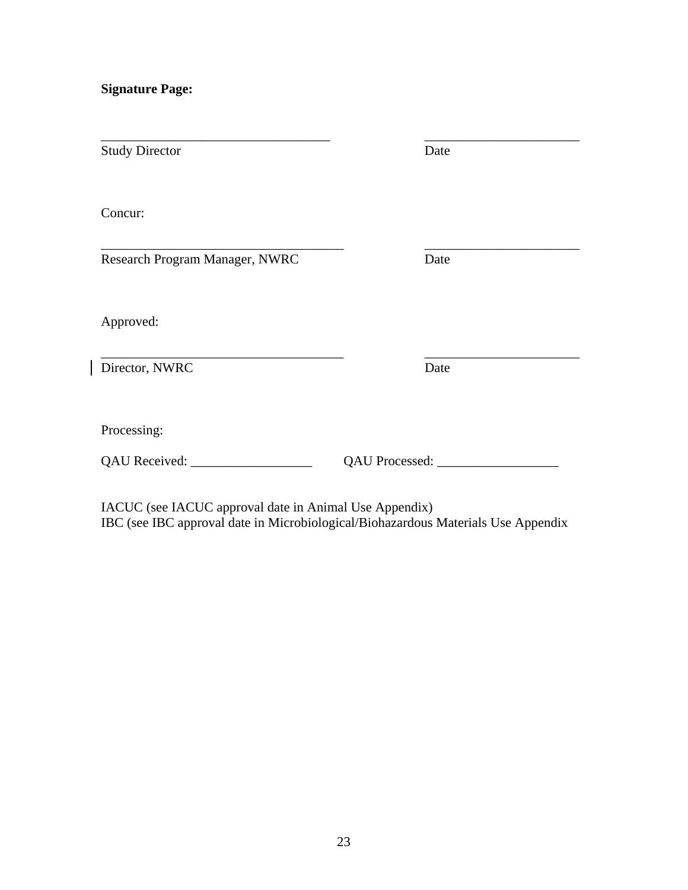**Signature Page:** 

 $\begin{array}{c} \rule{0pt}{2ex} \rule{0pt}{2ex} \rule{0pt}{2ex} \rule{0pt}{2ex} \rule{0pt}{2ex} \rule{0pt}{2ex} \rule{0pt}{2ex} \rule{0pt}{2ex} \rule{0pt}{2ex} \rule{0pt}{2ex} \rule{0pt}{2ex} \rule{0pt}{2ex} \rule{0pt}{2ex} \rule{0pt}{2ex} \rule{0pt}{2ex} \rule{0pt}{2ex} \rule{0pt}{2ex} \rule{0pt}{2ex} \rule{0pt}{2ex} \rule{0pt}{2ex} \rule{0pt}{2ex} \rule{0pt}{2ex} \rule{0pt}{2ex} \rule{0pt}{$ 

| <b>Study Director</b>          | Date |
|--------------------------------|------|
| Concur:                        |      |
| Research Program Manager, NWRC | Date |
| Approved:                      |      |
| Director, NWRC                 | Date |
| Processing:                    |      |
|                                |      |

IACUC (see IACUC approval date in Animal Use Appendix) IBC (see IBC approval date in Microbiological/Biohazardous Materials Use Appendix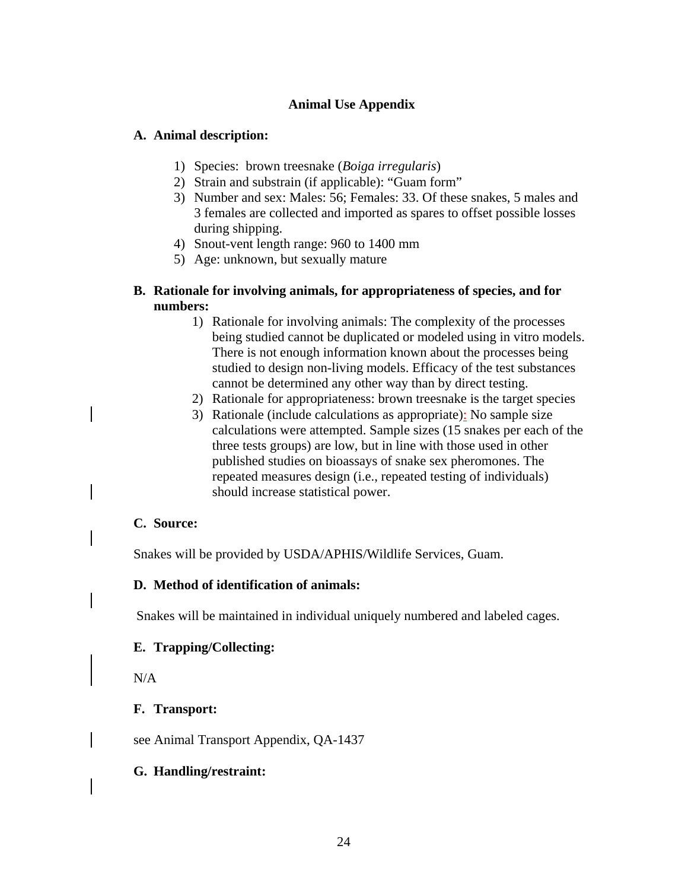### **Animal Use Appendix**

#### **A. Animal description:**

- 1) Species: brown treesnake (*Boiga irregularis*)
- 2) Strain and substrain (if applicable): "Guam form"
- 3) Number and sex: Males: 56; Females: 33. Of these snakes, 5 males and 3 females are collected and imported as spares to offset possible losses during shipping.
- 4) Snout-vent length range: 960 to 1400 mm
- 5) Age: unknown, but sexually mature

#### **B. Rationale for involving animals, for appropriateness of species, and for numbers:**

- 1) Rationale for involving animals: The complexity of the processes being studied cannot be duplicated or modeled using in vitro models. There is not enough information known about the processes being studied to design non-living models. Efficacy of the test substances cannot be determined any other way than by direct testing.
- 2) Rationale for appropriateness: brown treesnake is the target species
- 3) Rationale (include calculations as appropriate): No sample size calculations were attempted. Sample sizes (15 snakes per each of the three tests groups) are low, but in line with those used in other published studies on bioassays of snake sex pheromones. The repeated measures design (i.e., repeated testing of individuals) should increase statistical power.

#### **C. Source:**

Snakes will be provided by USDA/APHIS/Wildlife Services, Guam.

#### **D. Method of identification of animals:**

Snakes will be maintained in individual uniquely numbered and labeled cages.

#### **E. Trapping/Collecting:**

N/A

#### **F. Transport:**

see Animal Transport Appendix, QA-1437

#### **G. Handling/restraint:**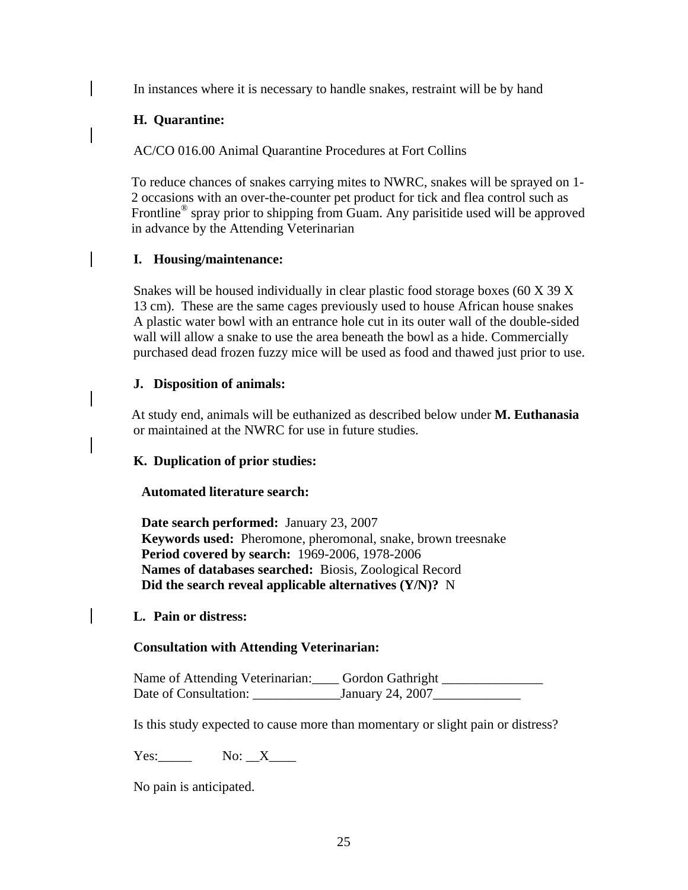In instances where it is necessary to handle snakes, restraint will be by hand

# **H. Quarantine:**

AC/CO 016.00 Animal Quarantine Procedures at Fort Collins

To reduce chances of snakes carrying mites to NWRC, snakes will be sprayed on 1- 2 occasions with an over-the-counter pet product for tick and flea control such as Frontline® spray prior to shipping from Guam. Any parisitide used will be approved in advance by the Attending Veterinarian

# **I. Housing/maintenance:**

Snakes will be housed individually in clear plastic food storage boxes (60 X 39 X 13 cm). These are the same cages previously used to house African house snakes A plastic water bowl with an entrance hole cut in its outer wall of the double-sided wall will allow a snake to use the area beneath the bowl as a hide. Commercially purchased dead frozen fuzzy mice will be used as food and thawed just prior to use.

# **J. Disposition of animals:**

At study end, animals will be euthanized as described below under **M. Euthanasia**  or maintained at the NWRC for use in future studies.

# **K. Duplication of prior studies:**

# **Automated literature search:**

**Date search performed:** January 23, 2007 **Keywords used:** Pheromone, pheromonal, snake, brown treesnake **Period covered by search:** 1969-2006, 1978-2006 **Names of databases searched:** Biosis, Zoological Record **Did the search reveal applicable alternatives (Y/N)?** N

# **L. Pain or distress:**

# **Consultation with Attending Veterinarian:**

Name of Attending Veterinarian:\_\_\_\_ Gordon Gathright \_\_\_\_\_\_\_\_\_\_\_\_ Date of Consultation: January 24, 2007

Is this study expected to cause more than momentary or slight pain or distress?

Yes: No: X

No pain is anticipated.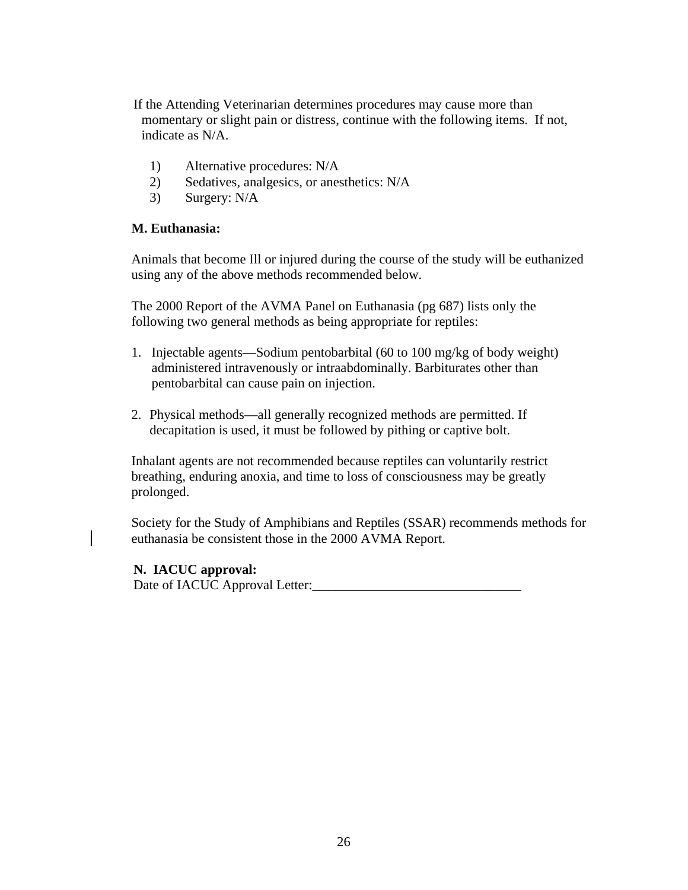If the Attending Veterinarian determines procedures may cause more than momentary or slight pain or distress, continue with the following items. If not, indicate as N/A.

- 1) Alternative procedures: N/A
- 2) Sedatives, analgesics, or anesthetics: N/A
- 3)Surgery: N/A

#### **M. Euthanasia:**

Animals that become Ill or injured during the course of the study will be euthanized using any of the above methods recommended below.

The 2000 Report of the AVMA Panel on Euthanasia (pg 687) lists only the following two general methods as being appropriate for reptiles:

- 1. Injectable agents—Sodium pentobarbital (60 to 100 mg/kg of body weight) administered intravenously or intraabdominally. Barbiturates other than pentobarbital can cause pain on injection.
- 2. Physical methods—all generally recognized methods are permitted. If decapitation is used, it must be followed by pithing or captive bolt.

Inhalant agents are not recommended because reptiles can voluntarily restrict breathing, enduring anoxia, and time to loss of consciousness may be greatly prolonged.

Society for the Study of Amphibians and Reptiles (SSAR) recommends methods for euthanasia be consistent those in the 2000 AVMA Report.

#### **N. IACUC approval:**

Date of IACUC Approval Letter:\_\_\_\_\_\_\_\_\_\_\_\_\_\_\_\_\_\_\_\_\_\_\_\_\_\_\_\_\_\_\_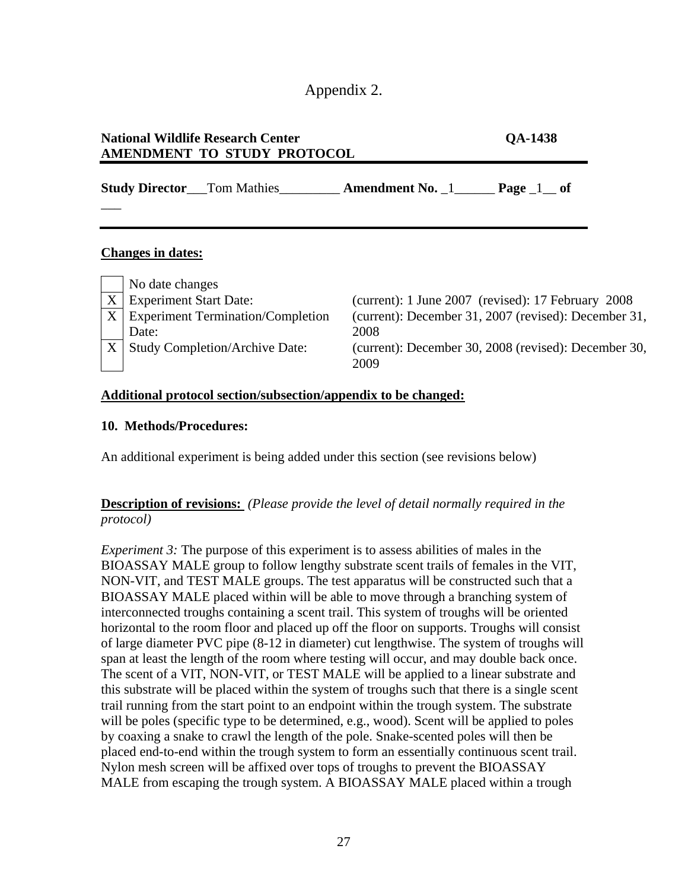Appendix 2.

| <b>National Wildlife Research Center</b><br>AMENDMENT TO STUDY PROTOCOL |  |
|-------------------------------------------------------------------------|--|
| <b>Study Director</b> Tom Mathies <b>Amendment No.</b> 1 Page 1 of      |  |
|                                                                         |  |
|                                                                         |  |

X Experiment Start Date: (current): 1 June 2007 (revised): 17 February 2008  $X$  Experiment Termination/Completion Date: (current): December 31, 2007 (revised): December 31, 2008  $X \mid$  Study Completion/Archive Date: (current): December 30, 2008 (revised): December 30, 2009

#### **Additional protocol section/subsection/appendix to be changed:**

### **10. Methods/Procedures:**

An additional experiment is being added under this section (see revisions below)

# **Description of revisions:** *(Please provide the level of detail normally required in the protocol)*

*Experiment 3:* The purpose of this experiment is to assess abilities of males in the BIOASSAY MALE group to follow lengthy substrate scent trails of females in the VIT, NON-VIT, and TEST MALE groups. The test apparatus will be constructed such that a BIOASSAY MALE placed within will be able to move through a branching system of interconnected troughs containing a scent trail. This system of troughs will be oriented horizontal to the room floor and placed up off the floor on supports. Troughs will consist of large diameter PVC pipe (8-12 in diameter) cut lengthwise. The system of troughs will span at least the length of the room where testing will occur, and may double back once. The scent of a VIT, NON-VIT, or TEST MALE will be applied to a linear substrate and this substrate will be placed within the system of troughs such that there is a single scent trail running from the start point to an endpoint within the trough system. The substrate will be poles (specific type to be determined, e.g., wood). Scent will be applied to poles by coaxing a snake to crawl the length of the pole. Snake-scented poles will then be placed end-to-end within the trough system to form an essentially continuous scent trail. Nylon mesh screen will be affixed over tops of troughs to prevent the BIOASSAY MALE from escaping the trough system. A BIOASSAY MALE placed within a trough